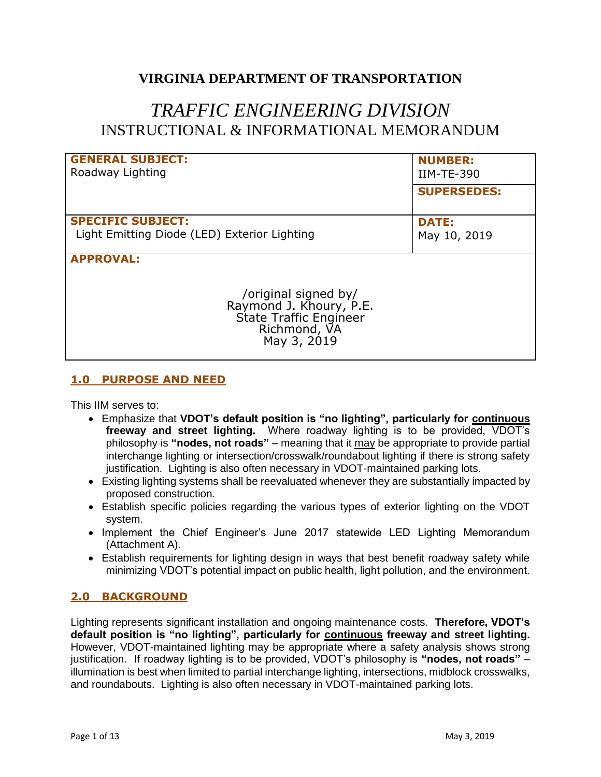# **VIRGINIA DEPARTMENT OF TRANSPORTATION**

# *TRAFFIC ENGINEERING DIVISION* INSTRUCTIONAL & INFORMATIONAL MEMORANDUM

| <b>GENERAL SUBJECT:</b><br>Roadway Lighting                                                                                  | <b>NUMBER:</b><br><b>IIM-TE-390</b> |
|------------------------------------------------------------------------------------------------------------------------------|-------------------------------------|
|                                                                                                                              | <b>SUPERSEDES:</b>                  |
| <b>SPECIFIC SUBJECT:</b>                                                                                                     | <b>DATE:</b>                        |
| Light Emitting Diode (LED) Exterior Lighting                                                                                 | May 10, 2019                        |
| <b>APPROVAL:</b><br>/original signed by/<br>Raymond J. Khoury, P.E.<br>State Traffic Engineer<br>Richmond, VA<br>May 3, 2019 |                                     |

# **1.0 PURPOSE AND NEED**

This IIM serves to:

- Emphasize that **VDOT's default position is "no lighting", particularly for continuous freeway and street lighting.** Where roadway lighting is to be provided, VDOT's philosophy is **"nodes, not roads"** – meaning that it may be appropriate to provide partial interchange lighting or intersection/crosswalk/roundabout lighting if there is strong safety justification. Lighting is also often necessary in VDOT-maintained parking lots.
- Existing lighting systems shall be reevaluated whenever they are substantially impacted by proposed construction.
- Establish specific policies regarding the various types of exterior lighting on the VDOT system.
- Implement the Chief Engineer's June 2017 statewide LED Lighting Memorandum (Attachment A).
- Establish requirements for lighting design in ways that best benefit roadway safety while minimizing VDOT's potential impact on public health, light pollution, and the environment.

# **2.0 BACKGROUND**

Lighting represents significant installation and ongoing maintenance costs. **Therefore, VDOT's default position is "no lighting", particularly for continuous freeway and street lighting.**  However, VDOT-maintained lighting may be appropriate where a safety analysis shows strong justification. If roadway lighting is to be provided, VDOT's philosophy is **"nodes, not roads"** – illumination is best when limited to partial interchange lighting, intersections, midblock crosswalks, and roundabouts. Lighting is also often necessary in VDOT-maintained parking lots.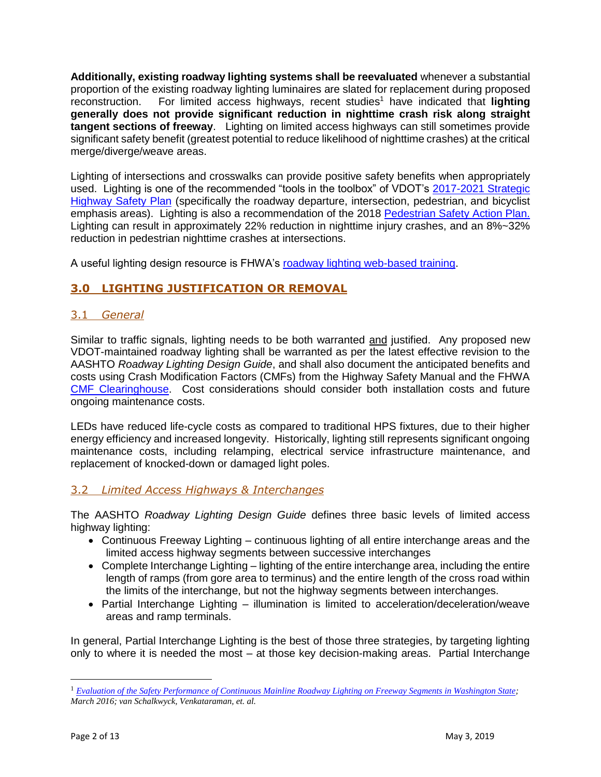**Additionally, existing roadway lighting systems shall be reevaluated** whenever a substantial proportion of the existing roadway lighting luminaires are slated for replacement during proposed reconstruction. For limited access highways, recent studies<sup>1</sup> have indicated that **lighting generally does not provide significant reduction in nighttime crash risk along straight tangent sections of freeway**. Lighting on limited access highways can still sometimes provide significant safety benefit (greatest potential to reduce likelihood of nighttime crashes) at the critical merge/diverge/weave areas.

Lighting of intersections and crosswalks can provide positive safety benefits when appropriately used. Lighting is one of the recommended "tools in the toolbox" of VDOT's [2017-2021 Strategic](http://www.virginiadot.org/info/resources/SHSP/VA_2017_SHSP_Final_complete.pdf)  [Highway Safety Plan](http://www.virginiadot.org/info/resources/SHSP/VA_2017_SHSP_Final_complete.pdf) (specifically the roadway departure, intersection, pedestrian, and bicyclist emphasis areas). Lighting is also a recommendation of the 2018 [Pedestrian Safety Action Plan.](http://vdot.maps.arcgis.com/apps/View/index.html?appid=ae073e60495948deafc34d08812dfb20) Lighting can result in approximately 22% reduction in nighttime injury crashes, and an 8%~32% reduction in pedestrian nighttime crashes at intersections.

A useful lighting design resource is FHWA's [roadway lighting web-based training.](https://safety.fhwa.dot.gov/roadway_dept/night_visib/roadway_lighting_workshop/Module_1_Final/Module_1_Final.htm)

# **3.0 LIGHTING JUSTIFICATION OR REMOVAL**

# 3.1 *General*

Similar to traffic signals, lighting needs to be both warranted and justified. Any proposed new VDOT-maintained roadway lighting shall be warranted as per the latest effective revision to the AASHTO *Roadway Lighting Design Guide*, and shall also document the anticipated benefits and costs using Crash Modification Factors (CMFs) from the Highway Safety Manual and the FHWA [CMF Clearinghouse.](http://www.cmfclearinghouse.org/) Cost considerations should consider both installation costs and future ongoing maintenance costs.

LEDs have reduced life-cycle costs as compared to traditional HPS fixtures, due to their higher energy efficiency and increased longevity. Historically, lighting still represents significant ongoing maintenance costs, including relamping, electrical service infrastructure maintenance, and replacement of knocked-down or damaged light poles.

# 3.2 *Limited Access Highways & Interchanges*

The AASHTO *Roadway Lighting Design Guide* defines three basic levels of limited access highway lighting:

- Continuous Freeway Lighting continuous lighting of all entire interchange areas and the limited access highway segments between successive interchanges
- Complete Interchange Lighting lighting of the entire interchange area, including the entire length of ramps (from gore area to terminus) and the entire length of the cross road within the limits of the interchange, but not the highway segments between interchanges.
- Partial Interchange Lighting illumination is limited to acceleration/deceleration/weave areas and ramp terminals.

In general, Partial Interchange Lighting is the best of those three strategies, by targeting lighting only to where it is needed the most – at those key decision-making areas. Partial Interchange

 $\overline{a}$ 

<sup>1</sup> *[Evaluation of the Safety Performance of Continuous Mainline Roadway Lighting on Freeway Segments in Washington State;](https://www.wsdot.wa.gov/research/reports/fullreports/855.1.pdf) March 2016; van Schalkwyck, Venkataraman, et. al.*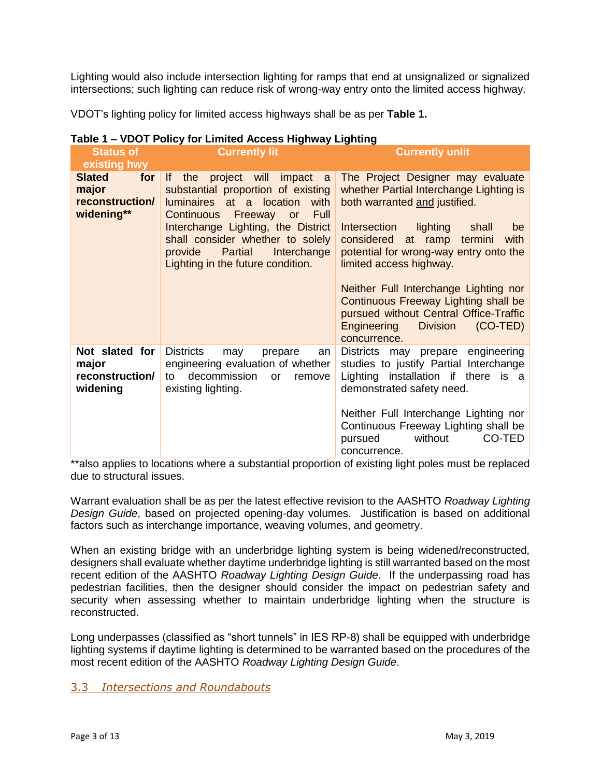Lighting would also include intersection lighting for ramps that end at unsignalized or signalized intersections; such lighting can reduce risk of wrong-way entry onto the limited access highway.

VDOT's lighting policy for limited access highways shall be as per **Table 1.**

| Table 1 – VDOT Policy for Limited Access Highway Lighting      |                                                                                                                                                                                                                                                                                                          |                                                                                                                                                                                                                                                                                                                                                                                                                                                                |  |
|----------------------------------------------------------------|----------------------------------------------------------------------------------------------------------------------------------------------------------------------------------------------------------------------------------------------------------------------------------------------------------|----------------------------------------------------------------------------------------------------------------------------------------------------------------------------------------------------------------------------------------------------------------------------------------------------------------------------------------------------------------------------------------------------------------------------------------------------------------|--|
| <b>Status of</b>                                               | <b>Currently lit</b>                                                                                                                                                                                                                                                                                     | <b>Currently unlit</b>                                                                                                                                                                                                                                                                                                                                                                                                                                         |  |
| existing hwy                                                   |                                                                                                                                                                                                                                                                                                          |                                                                                                                                                                                                                                                                                                                                                                                                                                                                |  |
| <b>Slated</b><br>for<br>major<br>reconstruction/<br>widening** | If<br>project will<br>impact a<br>the<br>substantial proportion of existing<br>luminaires at a location with<br><b>Full</b><br>Continuous Freeway or<br>Interchange Lighting, the District<br>shall consider whether to solely<br>Interchange<br>Partial<br>provide<br>Lighting in the future condition. | The Project Designer may evaluate<br>whether Partial Interchange Lighting is<br>both warranted and justified.<br>Intersection<br>lighting<br>shall<br>be<br>considered at ramp termini<br>with<br>potential for wrong-way entry onto the<br>limited access highway.<br>Neither Full Interchange Lighting nor<br>Continuous Freeway Lighting shall be<br>pursued without Central Office-Traffic<br>Engineering<br><b>Division</b><br>$(CO-TED)$<br>concurrence. |  |
| Not slated for<br>major<br>reconstruction/<br>widening         | <b>Districts</b><br>may<br>prepare<br>an<br>engineering evaluation of whether<br>decommission<br>to<br>remove<br>or<br>existing lighting.                                                                                                                                                                | Districts may prepare engineering<br>studies to justify Partial Interchange<br>Lighting installation if there is a<br>demonstrated safety need.<br>Neither Full Interchange Lighting nor<br>Continuous Freeway Lighting shall be<br>CO-TED<br>without<br>pursued<br>concurrence.                                                                                                                                                                               |  |

# **Table 1 – VDOT Policy for Limited Access Highway Lighting**

\*\*also applies to locations where a substantial proportion of existing light poles must be replaced due to structural issues.

Warrant evaluation shall be as per the latest effective revision to the AASHTO *Roadway Lighting Design Guide*, based on projected opening-day volumes. Justification is based on additional factors such as interchange importance, weaving volumes, and geometry.

When an existing bridge with an underbridge lighting system is being widened/reconstructed, designers shall evaluate whether daytime underbridge lighting is still warranted based on the most recent edition of the AASHTO *Roadway Lighting Design Guide*. If the underpassing road has pedestrian facilities, then the designer should consider the impact on pedestrian safety and security when assessing whether to maintain underbridge lighting when the structure is reconstructed.

Long underpasses (classified as "short tunnels" in IES RP-8) shall be equipped with underbridge lighting systems if daytime lighting is determined to be warranted based on the procedures of the most recent edition of the AASHTO *Roadway Lighting Design Guide*.

#### 3.3 *Intersections and Roundabouts*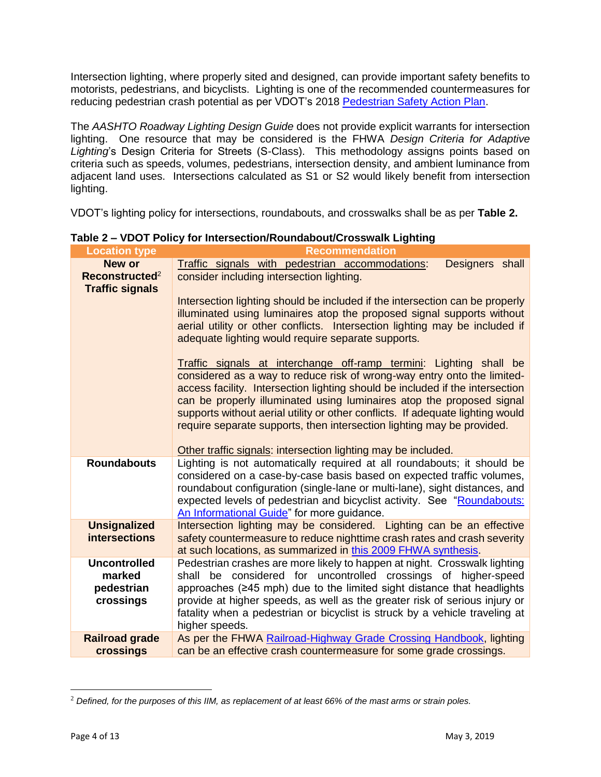Intersection lighting, where properly sited and designed, can provide important safety benefits to motorists, pedestrians, and bicyclists. Lighting is one of the recommended countermeasures for reducing pedestrian crash potential as per VDOT's 2018 [Pedestrian Safety Action Plan.](http://vdot.maps.arcgis.com/apps/View/index.html?appid=ae073e60495948deafc34d08812dfb20)

The *AASHTO Roadway Lighting Design Guide* does not provide explicit warrants for intersection lighting. One resource that may be considered is the FHWA *Design Criteria for Adaptive*  Lighting's Design Criteria for Streets (S-Class). This methodology assigns points based on criteria such as speeds, volumes, pedestrians, intersection density, and ambient luminance from adjacent land uses. Intersections calculated as S1 or S2 would likely benefit from intersection lighting.

VDOT's lighting policy for intersections, roundabouts, and crosswalks shall be as per **Table 2.**

| <b>Location type</b>       | <b>Recommendation</b>                                                          |  |  |
|----------------------------|--------------------------------------------------------------------------------|--|--|
| New or                     | Traffic signals with pedestrian accommodations:<br>Designers shall             |  |  |
| Reconstructed <sup>2</sup> | consider including intersection lighting.                                      |  |  |
| <b>Traffic signals</b>     |                                                                                |  |  |
|                            | Intersection lighting should be included if the intersection can be properly   |  |  |
|                            | illuminated using luminaires atop the proposed signal supports without         |  |  |
|                            | aerial utility or other conflicts. Intersection lighting may be included if    |  |  |
|                            | adequate lighting would require separate supports.                             |  |  |
|                            |                                                                                |  |  |
|                            | Traffic signals at interchange off-ramp termini: Lighting shall be             |  |  |
|                            | considered as a way to reduce risk of wrong-way entry onto the limited-        |  |  |
|                            | access facility. Intersection lighting should be included if the intersection  |  |  |
|                            | can be properly illuminated using luminaires atop the proposed signal          |  |  |
|                            | supports without aerial utility or other conflicts. If adequate lighting would |  |  |
|                            | require separate supports, then intersection lighting may be provided.         |  |  |
|                            |                                                                                |  |  |
|                            | Other traffic signals: intersection lighting may be included.                  |  |  |
| <b>Roundabouts</b>         | Lighting is not automatically required at all roundabouts; it should be        |  |  |
|                            | considered on a case-by-case basis based on expected traffic volumes,          |  |  |
|                            | roundabout configuration (single-lane or multi-lane), sight distances, and     |  |  |
|                            | expected levels of pedestrian and bicyclist activity. See "Roundabouts:        |  |  |
|                            |                                                                                |  |  |
|                            | An Informational Guide" for more guidance.                                     |  |  |
| <b>Unsignalized</b>        | Intersection lighting may be considered. Lighting can be an effective          |  |  |
| <b>intersections</b>       | safety countermeasure to reduce nighttime crash rates and crash severity       |  |  |
|                            | at such locations, as summarized in this 2009 FHWA synthesis.                  |  |  |
| <b>Uncontrolled</b>        | Pedestrian crashes are more likely to happen at night. Crosswalk lighting      |  |  |
| marked                     | shall be considered for uncontrolled crossings of higher-speed                 |  |  |
| pedestrian                 | approaches (≥45 mph) due to the limited sight distance that headlights         |  |  |
| crossings                  | provide at higher speeds, as well as the greater risk of serious injury or     |  |  |
|                            | fatality when a pedestrian or bicyclist is struck by a vehicle traveling at    |  |  |
|                            | higher speeds.                                                                 |  |  |
| <b>Railroad grade</b>      | As per the FHWA Railroad-Highway Grade Crossing Handbook, lighting             |  |  |
| crossings                  | can be an effective crash countermeasure for some grade crossings.             |  |  |

**Table 2 – VDOT Policy for Intersection/Roundabout/Crosswalk Lighting**

 $\overline{a}$ 

<sup>2</sup> *Defined, for the purposes of this IIM, as replacement of at least 66% of the mast arms or strain poles.*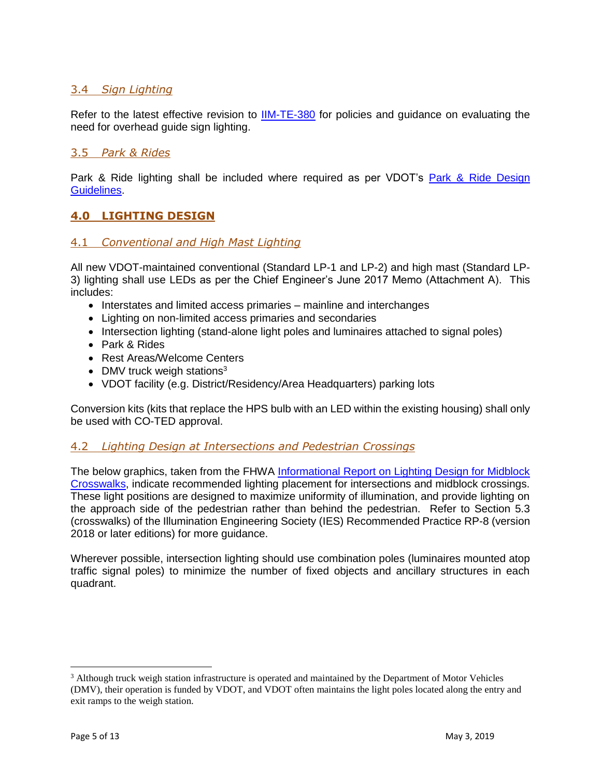# 3.4 *Sign Lighting*

Refer to the latest effective revision to [IIM-TE-380](http://www.virginiadot.org/business/resources/traffic_engineering/memos3/TE-380_Sign_Lighting.pdf) for policies and guidance on evaluating the need for overhead guide sign lighting.

#### 3.5 *Park & Rides*

Park & Ride lighting shall be included where required as per VDOT's Park & Ride Design [Guidelines.](http://www.virginiadot.org/travel/resources/parkAndRide/Park_Ride_Design_Guidelines.pdf)

# **4.0 LIGHTING DESIGN**

#### 4.1 *Conventional and High Mast Lighting*

All new VDOT-maintained conventional (Standard LP-1 and LP-2) and high mast (Standard LP-3) lighting shall use LEDs as per the Chief Engineer's June 2017 Memo (Attachment A). This includes:

- Interstates and limited access primaries mainline and interchanges
- Lighting on non-limited access primaries and secondaries
- Intersection lighting (stand-alone light poles and luminaires attached to signal poles)
- Park & Rides
- Rest Areas/Welcome Centers
- DMV truck weigh stations<sup>3</sup>
- VDOT facility (e.g. District/Residency/Area Headquarters) parking lots

Conversion kits (kits that replace the HPS bulb with an LED within the existing housing) shall only be used with CO-TED approval.

#### 4.2 *Lighting Design at Intersections and Pedestrian Crossings*

The below graphics, taken from the FHWA [Informational Report on Lighting Design for Midblock](https://www.fhwa.dot.gov/publications/research/safety/08053/08053.pdf)  [Crosswalks,](https://www.fhwa.dot.gov/publications/research/safety/08053/08053.pdf) indicate recommended lighting placement for intersections and midblock crossings. These light positions are designed to maximize uniformity of illumination, and provide lighting on the approach side of the pedestrian rather than behind the pedestrian. Refer to Section 5.3 (crosswalks) of the Illumination Engineering Society (IES) Recommended Practice RP-8 (version 2018 or later editions) for more guidance.

Wherever possible, intersection lighting should use combination poles (luminaires mounted atop traffic signal poles) to minimize the number of fixed objects and ancillary structures in each quadrant.

 $\overline{a}$ 

<sup>3</sup> Although truck weigh station infrastructure is operated and maintained by the Department of Motor Vehicles (DMV), their operation is funded by VDOT, and VDOT often maintains the light poles located along the entry and exit ramps to the weigh station.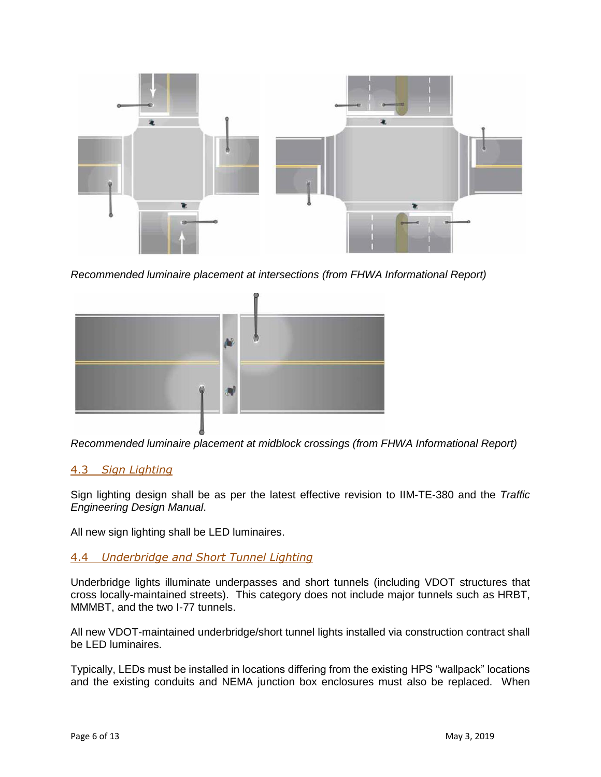

*Recommended luminaire placement at intersections (from FHWA Informational Report)*



*Recommended luminaire placement at midblock crossings (from FHWA Informational Report)*

#### 4.3 *Sign Lighting*

Sign lighting design shall be as per the latest effective revision to IIM-TE-380 and the *Traffic Engineering Design Manual*.

All new sign lighting shall be LED luminaires.

#### 4.4 *Underbridge and Short Tunnel Lighting*

Underbridge lights illuminate underpasses and short tunnels (including VDOT structures that cross locally-maintained streets). This category does not include major tunnels such as HRBT, MMMBT, and the two I-77 tunnels.

All new VDOT-maintained underbridge/short tunnel lights installed via construction contract shall be LED luminaires.

Typically, LEDs must be installed in locations differing from the existing HPS "wallpack" locations and the existing conduits and NEMA junction box enclosures must also be replaced. When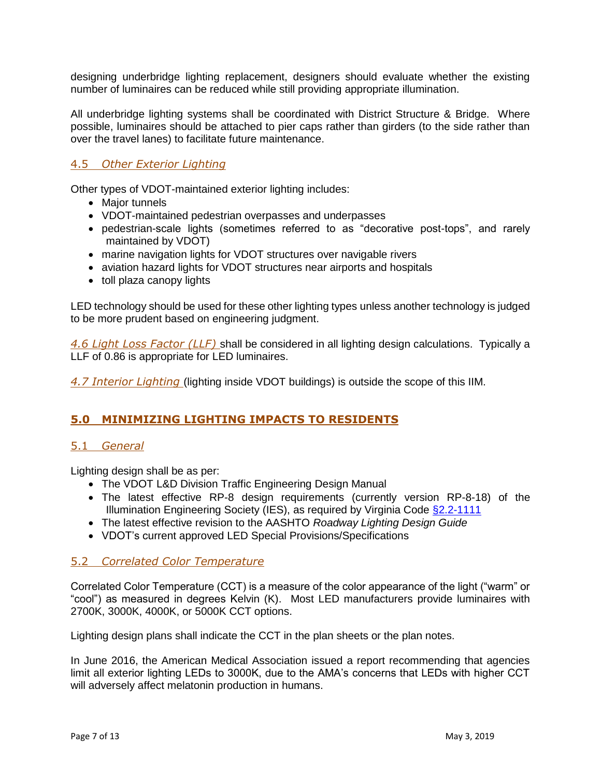designing underbridge lighting replacement, designers should evaluate whether the existing number of luminaires can be reduced while still providing appropriate illumination.

All underbridge lighting systems shall be coordinated with District Structure & Bridge. Where possible, luminaires should be attached to pier caps rather than girders (to the side rather than over the travel lanes) to facilitate future maintenance.

#### 4.5 *Other Exterior Lighting*

Other types of VDOT-maintained exterior lighting includes:

- Major tunnels
- VDOT-maintained pedestrian overpasses and underpasses
- pedestrian-scale lights (sometimes referred to as "decorative post-tops", and rarely maintained by VDOT)
- marine navigation lights for VDOT structures over navigable rivers
- aviation hazard lights for VDOT structures near airports and hospitals
- toll plaza canopy lights

LED technology should be used for these other lighting types unless another technology is judged to be more prudent based on engineering judgment.

*4.6 Light Loss Factor (LLF)* shall be considered in all lighting design calculations. Typically a LLF of 0.86 is appropriate for LED luminaires.

*4.7 Interior Lighting* (lighting inside VDOT buildings) is outside the scope of this IIM.

#### **5.0 MINIMIZING LIGHTING IMPACTS TO RESIDENTS**

#### 5.1 *General*

Lighting design shall be as per:

- The VDOT L&D Division Traffic Engineering Design Manual
- The latest effective RP-8 design requirements (currently version RP-8-18) of the Illumination Engineering Society (IES), as required by Virginia Code [§2.2-1111](https://law.lis.virginia.gov/vacode/title2.2/chapter11/section2.2-1111/)
- The latest effective revision to the AASHTO *Roadway Lighting Design Guide*
- VDOT's current approved LED Special Provisions/Specifications

#### 5.2 *Correlated Color Temperature*

Correlated Color Temperature (CCT) is a measure of the color appearance of the light ("warm" or "cool") as measured in degrees Kelvin (K). Most LED manufacturers provide luminaires with 2700K, 3000K, 4000K, or 5000K CCT options.

Lighting design plans shall indicate the CCT in the plan sheets or the plan notes.

In June 2016, the American Medical Association issued a report recommending that agencies limit all exterior lighting LEDs to 3000K, due to the AMA's concerns that LEDs with higher CCT will adversely affect melatonin production in humans.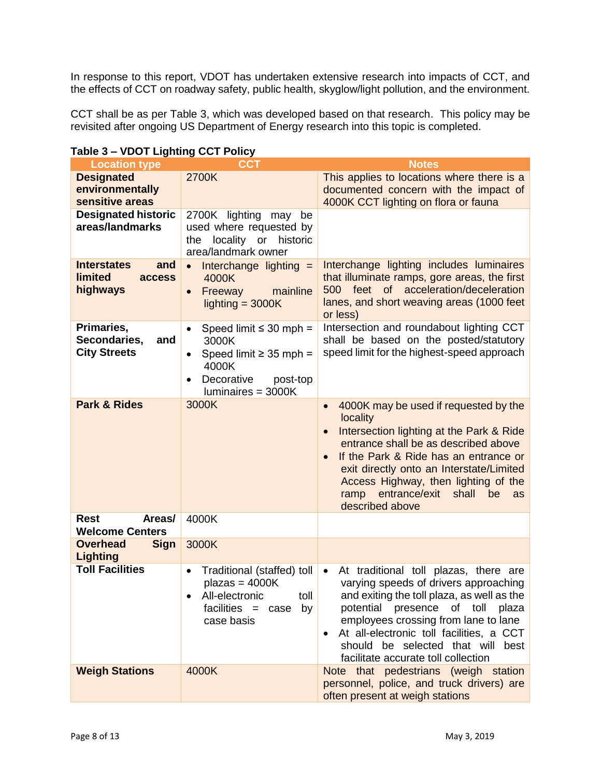In response to this report, VDOT has undertaken extensive research into impacts of CCT, and the effects of CCT on roadway safety, public health, skyglow/light pollution, and the environment.

CCT shall be as per Table 3, which was developed based on that research. This policy may be revisited after ongoing US Department of Energy research into this topic is completed.

| <b>Location type</b>                                              | <b>CCT</b>                                                                                                                                               | <b>Notes</b>                                                                                                                                                                                                                                                                                                                                                         |
|-------------------------------------------------------------------|----------------------------------------------------------------------------------------------------------------------------------------------------------|----------------------------------------------------------------------------------------------------------------------------------------------------------------------------------------------------------------------------------------------------------------------------------------------------------------------------------------------------------------------|
| <b>Designated</b><br>environmentally<br>sensitive areas           | 2700K                                                                                                                                                    | This applies to locations where there is a<br>documented concern with the impact of<br>4000K CCT lighting on flora or fauna                                                                                                                                                                                                                                          |
| <b>Designated historic</b><br>areas/landmarks                     | 2700K lighting may<br>be<br>used where requested by<br>locality<br>historic<br>the<br>or<br>area/landmark owner                                          |                                                                                                                                                                                                                                                                                                                                                                      |
| <b>Interstates</b><br>and<br><b>limited</b><br>access<br>highways | $\bullet$ Interchange lighting $=$<br>4000K<br>mainline<br>Freeway<br>$\bullet$<br>lighting $=$ 3000K                                                    | Interchange lighting includes luminaires<br>that illuminate ramps, gore areas, the first<br>500 feet of acceleration/deceleration<br>lanes, and short weaving areas (1000 feet<br>or less)                                                                                                                                                                           |
| Primaries,<br>Secondaries,<br>and<br><b>City Streets</b>          | Speed limit $\leq$ 30 mph =<br>$\bullet$<br>3000K<br>Speed limit $\geq$ 35 mph =<br>$\bullet$<br>4000K<br>Decorative<br>post-top<br>luminaires = $3000K$ | Intersection and roundabout lighting CCT<br>shall be based on the posted/statutory<br>speed limit for the highest-speed approach                                                                                                                                                                                                                                     |
| <b>Park &amp; Rides</b>                                           | 3000K                                                                                                                                                    | 4000K may be used if requested by the<br>$\bullet$<br>locality<br>Intersection lighting at the Park & Ride<br>$\bullet$<br>entrance shall be as described above<br>If the Park & Ride has an entrance or<br>$\bullet$<br>exit directly onto an Interstate/Limited<br>Access Highway, then lighting of the<br>ramp entrance/exit shall<br>be<br>as<br>described above |
| <b>Rest</b><br>Areas/<br><b>Welcome Centers</b>                   | 4000K                                                                                                                                                    |                                                                                                                                                                                                                                                                                                                                                                      |
| <b>Sign</b><br><b>Overhead</b><br><b>Lighting</b>                 | 3000K                                                                                                                                                    |                                                                                                                                                                                                                                                                                                                                                                      |
| <b>Toll Facilities</b>                                            | Traditional (staffed) toll<br>$\bullet$<br>$plazas = 4000K$<br>toll<br>All-electronic<br>facilities $=$<br>by<br>case<br>case basis                      | At traditional toll plazas, there are<br>$\bullet$<br>varying speeds of drivers approaching<br>and exiting the toll plaza, as well as the<br>potential presence of toll plaza<br>employees crossing from lane to lane<br>At all-electronic toll facilities, a CCT<br>٠<br>should be selected that will<br>best<br>facilitate accurate toll collection                |
| <b>Weigh Stations</b>                                             | 4000K                                                                                                                                                    | Note that pedestrians (weigh station<br>personnel, police, and truck drivers) are<br>often present at weigh stations                                                                                                                                                                                                                                                 |

#### **Table 3 – VDOT Lighting CCT Policy**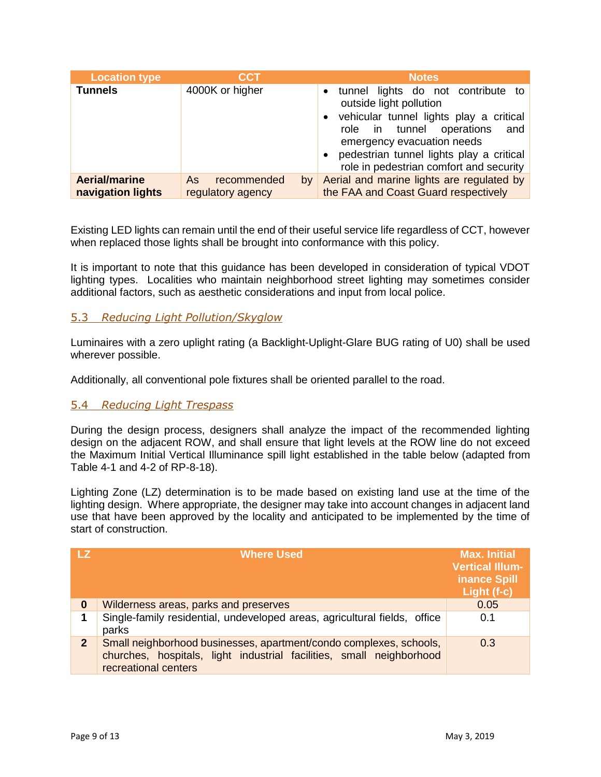| <b>Location type</b>                      | CCT                                          | <b>Notes</b>                                                                                                                                                                                                                                                                                                   |  |
|-------------------------------------------|----------------------------------------------|----------------------------------------------------------------------------------------------------------------------------------------------------------------------------------------------------------------------------------------------------------------------------------------------------------------|--|
| <b>Tunnels</b>                            | 4000K or higher                              | tunnel lights do not contribute to<br>$\bullet$<br>outside light pollution<br>vehicular tunnel lights play a critical<br>$\bullet$<br>operations<br>tunnel<br>and<br>role in<br>emergency evacuation needs<br>pedestrian tunnel lights play a critical<br>$\bullet$<br>role in pedestrian comfort and security |  |
| <b>Aerial/marine</b><br>navigation lights | recommended<br>As<br>by<br>regulatory agency | Aerial and marine lights are regulated by<br>the FAA and Coast Guard respectively                                                                                                                                                                                                                              |  |

Existing LED lights can remain until the end of their useful service life regardless of CCT, however when replaced those lights shall be brought into conformance with this policy.

It is important to note that this guidance has been developed in consideration of typical VDOT lighting types. Localities who maintain neighborhood street lighting may sometimes consider additional factors, such as aesthetic considerations and input from local police.

#### 5.3 *Reducing Light Pollution/Skyglow*

Luminaires with a zero uplight rating (a Backlight-Uplight-Glare BUG rating of U0) shall be used wherever possible.

Additionally, all conventional pole fixtures shall be oriented parallel to the road.

#### 5.4 *Reducing Light Trespass*

During the design process, designers shall analyze the impact of the recommended lighting design on the adjacent ROW, and shall ensure that light levels at the ROW line do not exceed the Maximum Initial Vertical Illuminance spill light established in the table below (adapted from Table 4-1 and 4-2 of RP-8-18).

Lighting Zone (LZ) determination is to be made based on existing land use at the time of the lighting design. Where appropriate, the designer may take into account changes in adjacent land use that have been approved by the locality and anticipated to be implemented by the time of start of construction.

| <b>LZ</b>    | <b>Where Used</b>                                                                                                                                                  | <b>Max. Initial</b><br><b>Vertical Illum-</b><br>inance Spill<br>Light (f-c) |
|--------------|--------------------------------------------------------------------------------------------------------------------------------------------------------------------|------------------------------------------------------------------------------|
| 0            | Wilderness areas, parks and preserves                                                                                                                              | 0.05                                                                         |
|              | Single-family residential, undeveloped areas, agricultural fields, office<br>parks                                                                                 | 0.1                                                                          |
| $\mathbf{2}$ | Small neighborhood businesses, apartment/condo complexes, schools,<br>churches, hospitals, light industrial facilities, small neighborhood<br>recreational centers | 0.3                                                                          |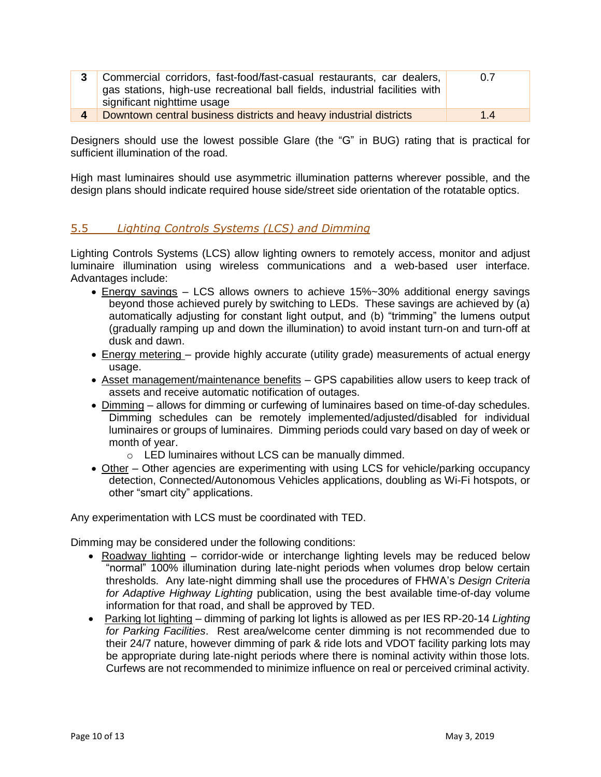| Commercial corridors, fast-food/fast-casual restaurants, car dealers,<br>gas stations, high-use recreational ball fields, industrial facilities with<br>significant nighttime usage | 0.7 |
|-------------------------------------------------------------------------------------------------------------------------------------------------------------------------------------|-----|
| Downtown central business districts and heavy industrial districts                                                                                                                  | 1.4 |

Designers should use the lowest possible Glare (the "G" in BUG) rating that is practical for sufficient illumination of the road.

High mast luminaires should use asymmetric illumination patterns wherever possible, and the design plans should indicate required house side/street side orientation of the rotatable optics.

# 5.5 *Lighting Controls Systems (LCS) and Dimming*

Lighting Controls Systems (LCS) allow lighting owners to remotely access, monitor and adjust luminaire illumination using wireless communications and a web-based user interface. Advantages include:

- Energy savings LCS allows owners to achieve 15%~30% additional energy savings beyond those achieved purely by switching to LEDs. These savings are achieved by (a) automatically adjusting for constant light output, and (b) "trimming" the lumens output (gradually ramping up and down the illumination) to avoid instant turn-on and turn-off at dusk and dawn.
- Energy metering provide highly accurate (utility grade) measurements of actual energy usage.
- Asset management/maintenance benefits GPS capabilities allow users to keep track of assets and receive automatic notification of outages.
- Dimming allows for dimming or curfewing of luminaires based on time-of-day schedules. Dimming schedules can be remotely implemented/adjusted/disabled for individual luminaires or groups of luminaires. Dimming periods could vary based on day of week or month of year.
	- o LED luminaires without LCS can be manually dimmed.
- Other Other agencies are experimenting with using LCS for vehicle/parking occupancy detection, Connected/Autonomous Vehicles applications, doubling as Wi-Fi hotspots, or other "smart city" applications.

Any experimentation with LCS must be coordinated with TED.

Dimming may be considered under the following conditions:

- Roadway lighting corridor-wide or interchange lighting levels may be reduced below "normal" 100% illumination during late-night periods when volumes drop below certain thresholds. Any late-night dimming shall use the procedures of FHWA's *Design Criteria for Adaptive Highway Lighting* publication, using the best available time-of-day volume information for that road, and shall be approved by TED.
- Parking lot lighting dimming of parking lot lights is allowed as per IES RP-20-14 *Lighting for Parking Facilities*. Rest area/welcome center dimming is not recommended due to their 24/7 nature, however dimming of park & ride lots and VDOT facility parking lots may be appropriate during late-night periods where there is nominal activity within those lots. Curfews are not recommended to minimize influence on real or perceived criminal activity.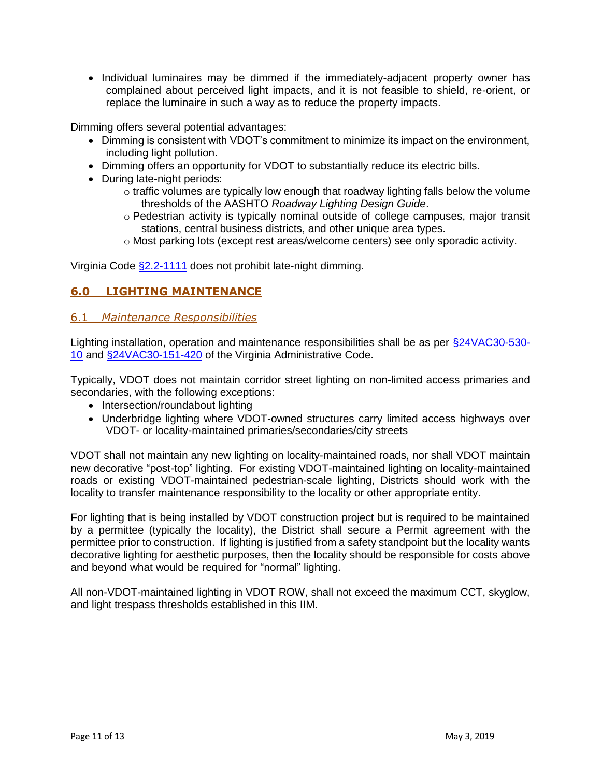• Individual luminaires may be dimmed if the immediately-adjacent property owner has complained about perceived light impacts, and it is not feasible to shield, re-orient, or replace the luminaire in such a way as to reduce the property impacts.

Dimming offers several potential advantages:

- Dimming is consistent with VDOT's commitment to minimize its impact on the environment, including light pollution.
- Dimming offers an opportunity for VDOT to substantially reduce its electric bills.
- During late-night periods:
	- o traffic volumes are typically low enough that roadway lighting falls below the volume thresholds of the AASHTO *Roadway Lighting Design Guide*.
	- o Pedestrian activity is typically nominal outside of college campuses, major transit stations, central business districts, and other unique area types.
	- o Most parking lots (except rest areas/welcome centers) see only sporadic activity.

Virginia Code [§2.2-1111](https://law.lis.virginia.gov/vacode/title2.2/chapter11/section2.2-1111/) does not prohibit late-night dimming.

# **6.0 LIGHTING MAINTENANCE**

#### 6.1 *Maintenance Responsibilities*

Lighting installation, operation and maintenance responsibilities shall be as per [§24VAC30-530-](https://law.lis.virginia.gov/admincode/title24/agency30/chapter530/section10/) [10](https://law.lis.virginia.gov/admincode/title24/agency30/chapter530/section10/) and [§24VAC30-151-420](https://law.lis.virginia.gov/admincode/title24/agency30/chapter151/section420) of the Virginia Administrative Code.

Typically, VDOT does not maintain corridor street lighting on non-limited access primaries and secondaries, with the following exceptions:

- Intersection/roundabout lighting
- Underbridge lighting where VDOT-owned structures carry limited access highways over VDOT- or locality-maintained primaries/secondaries/city streets

VDOT shall not maintain any new lighting on locality-maintained roads, nor shall VDOT maintain new decorative "post-top" lighting. For existing VDOT-maintained lighting on locality-maintained roads or existing VDOT-maintained pedestrian-scale lighting, Districts should work with the locality to transfer maintenance responsibility to the locality or other appropriate entity.

For lighting that is being installed by VDOT construction project but is required to be maintained by a permittee (typically the locality), the District shall secure a Permit agreement with the permittee prior to construction. If lighting is justified from a safety standpoint but the locality wants decorative lighting for aesthetic purposes, then the locality should be responsible for costs above and beyond what would be required for "normal" lighting.

All non-VDOT-maintained lighting in VDOT ROW, shall not exceed the maximum CCT, skyglow, and light trespass thresholds established in this IIM.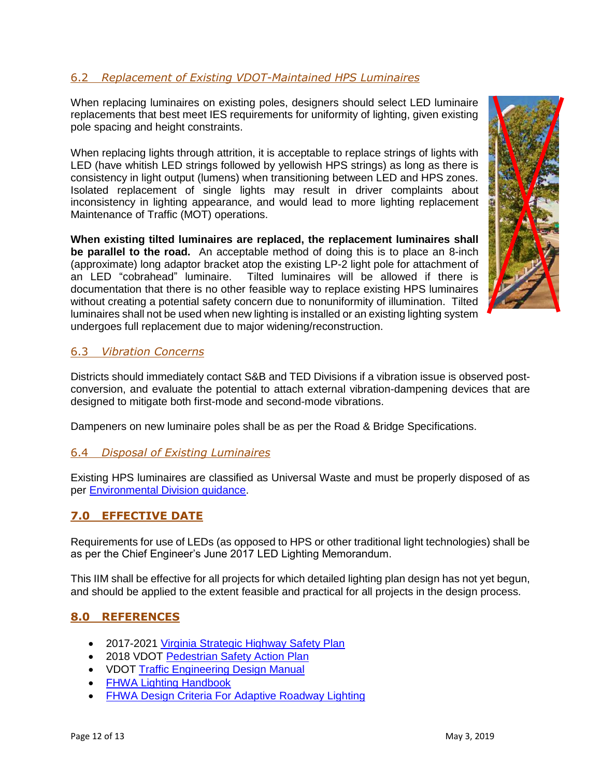# 6.2 *Replacement of Existing VDOT-Maintained HPS Luminaires*

When replacing luminaires on existing poles, designers should select LED luminaire replacements that best meet IES requirements for uniformity of lighting, given existing pole spacing and height constraints.

When replacing lights through attrition, it is acceptable to replace strings of lights with LED (have whitish LED strings followed by yellowish HPS strings) as long as there is consistency in light output (lumens) when transitioning between LED and HPS zones. Isolated replacement of single lights may result in driver complaints about inconsistency in lighting appearance, and would lead to more lighting replacement Maintenance of Traffic (MOT) operations.

**When existing tilted luminaires are replaced, the replacement luminaires shall be parallel to the road.** An acceptable method of doing this is to place an 8-inch (approximate) long adaptor bracket atop the existing LP-2 light pole for attachment of an LED "cobrahead" luminaire. Tilted luminaires will be allowed if there is documentation that there is no other feasible way to replace existing HPS luminaires without creating a potential safety concern due to nonuniformity of illumination. Tilted luminaires shall not be used when new lighting is installed or an existing lighting system undergoes full replacement due to major widening/reconstruction.



# 6.3 *Vibration Concerns*

Districts should immediately contact S&B and TED Divisions if a vibration issue is observed postconversion, and evaluate the potential to attach external vibration-dampening devices that are designed to mitigate both first-mode and second-mode vibrations.

Dampeners on new luminaire poles shall be as per the Road & Bridge Specifications.

#### 6.4 *Disposal of Existing Luminaires*

Existing HPS luminaires are classified as Universal Waste and must be properly disposed of as per [Environmental Division guidance.](https://insidevdot.cov.virginia.gov/div/env/HM/WMMGuide/Lamps/SitePages/Home.aspx)

# **7.0 EFFECTIVE DATE**

Requirements for use of LEDs (as opposed to HPS or other traditional light technologies) shall be as per the Chief Engineer's June 2017 LED Lighting Memorandum.

This IIM shall be effective for all projects for which detailed lighting plan design has not yet begun, and should be applied to the extent feasible and practical for all projects in the design process.

#### **8.0 REFERENCES**

- 2017-2021 [Virginia Strategic Highway Safety Plan](http://www.virginiadot.org/info/hwysafetyplan.asp)
- 2018 VDOT [Pedestrian Safety Action Plan](http://vdot.maps.arcgis.com/apps/View/index.html?appid=ae073e60495948deafc34d08812dfb20)
- VDOT [Traffic Engineering Design Manual](http://www.virginiadot.org/business/locdes/traffic-engineering-manual.asp)
- [FHWA Lighting Handbook](https://safety.fhwa.dot.gov/roadway_dept/night_visib/lighting_handbook/pdf/fhwa_handbook2012.pdf)
- [FHWA Design Criteria For Adaptive Roadway Lighting](https://www.fhwa.dot.gov/publications/research/safety/14051/)